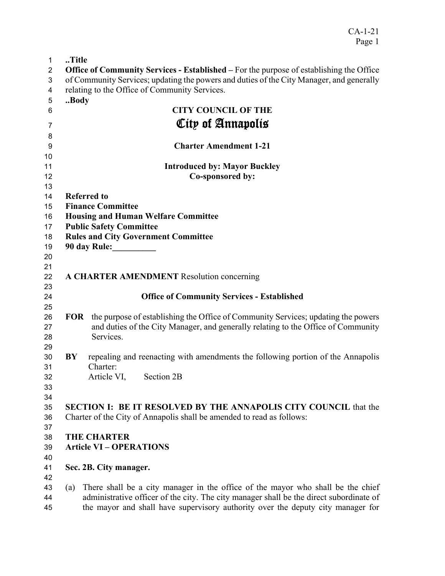| $\mathbf 1$    | Title                                                                                                                                                                             |
|----------------|-----------------------------------------------------------------------------------------------------------------------------------------------------------------------------------|
| $\overline{c}$ | <b>Office of Community Services - Established – For the purpose of establishing the Office</b>                                                                                    |
| 3              | of Community Services; updating the powers and duties of the City Manager, and generally                                                                                          |
| 4              | relating to the Office of Community Services.                                                                                                                                     |
| 5              | Body                                                                                                                                                                              |
| 6              | <b>CITY COUNCIL OF THE</b>                                                                                                                                                        |
| 7              | City of Annapolis                                                                                                                                                                 |
| 8              |                                                                                                                                                                                   |
| 9              | <b>Charter Amendment 1-21</b>                                                                                                                                                     |
| 10             |                                                                                                                                                                                   |
| 11             | <b>Introduced by: Mayor Buckley</b>                                                                                                                                               |
| 12             | Co-sponsored by:                                                                                                                                                                  |
| 13             |                                                                                                                                                                                   |
| 14             | <b>Referred to</b>                                                                                                                                                                |
| 15             | <b>Finance Committee</b>                                                                                                                                                          |
| 16             | <b>Housing and Human Welfare Committee</b>                                                                                                                                        |
| 17             | <b>Public Safety Committee</b>                                                                                                                                                    |
| 18             | <b>Rules and City Government Committee</b>                                                                                                                                        |
| 19             |                                                                                                                                                                                   |
| 20             |                                                                                                                                                                                   |
| 21             |                                                                                                                                                                                   |
| 22             | <b>A CHARTER AMENDMENT</b> Resolution concerning                                                                                                                                  |
| 23             |                                                                                                                                                                                   |
| 24             | <b>Office of Community Services - Established</b>                                                                                                                                 |
| 25             |                                                                                                                                                                                   |
| 26             | <b>FOR</b> the purpose of establishing the Office of Community Services; updating the powers<br>and duties of the City Manager, and generally relating to the Office of Community |
| 27<br>28       | Services.                                                                                                                                                                         |
| 29             |                                                                                                                                                                                   |
| 30             | repealing and reenacting with amendments the following portion of the Annapolis<br>BY                                                                                             |
| 31             | Charter:                                                                                                                                                                          |
| 32             | Article VI,<br>Section 2B                                                                                                                                                         |
| 33             |                                                                                                                                                                                   |
| 34             |                                                                                                                                                                                   |
| 35             | <b>SECTION I: BE IT RESOLVED BY THE ANNAPOLIS CITY COUNCIL that the</b>                                                                                                           |
| 36             | Charter of the City of Annapolis shall be amended to read as follows:                                                                                                             |
| 37             |                                                                                                                                                                                   |
| 38             | <b>THE CHARTER</b>                                                                                                                                                                |
| 39             | <b>Article VI - OPERATIONS</b>                                                                                                                                                    |
| 40             |                                                                                                                                                                                   |
| 41             | Sec. 2B. City manager.                                                                                                                                                            |
| 42             |                                                                                                                                                                                   |
| 43             | There shall be a city manager in the office of the mayor who shall be the chief<br>(a)                                                                                            |
| 44             | administrative officer of the city. The city manager shall be the direct subordinate of                                                                                           |
| 45             | the mayor and shall have supervisory authority over the deputy city manager for                                                                                                   |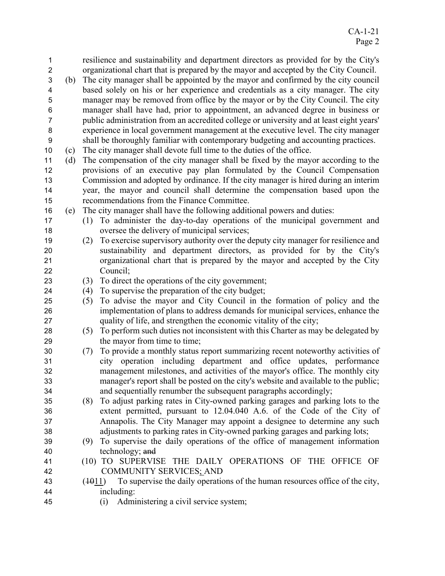| 1              |     | resilience and sustainability and department directors as provided for by the City's     |
|----------------|-----|------------------------------------------------------------------------------------------|
| $\overline{c}$ |     | organizational chart that is prepared by the mayor and accepted by the City Council.     |
| 3              | (b) | The city manager shall be appointed by the mayor and confirmed by the city council       |
| 4              |     | based solely on his or her experience and credentials as a city manager. The city        |
| 5              |     | manager may be removed from office by the mayor or by the City Council. The city         |
| 6              |     | manager shall have had, prior to appointment, an advanced degree in business or          |
| 7              |     | public administration from an accredited college or university and at least eight years' |
| 8              |     | experience in local government management at the executive level. The city manager       |
| 9              |     | shall be thoroughly familiar with contemporary budgeting and accounting practices.       |
| 10             | (c) | The city manager shall devote full time to the duties of the office.                     |
| 11             | (d) | The compensation of the city manager shall be fixed by the mayor according to the        |
| 12             |     | provisions of an executive pay plan formulated by the Council Compensation               |
| 13             |     | Commission and adopted by ordinance. If the city manager is hired during an interim      |
| 14             |     | year, the mayor and council shall determine the compensation based upon the              |
| 15             |     | recommendations from the Finance Committee.                                              |
| 16             | (e) | The city manager shall have the following additional powers and duties:                  |
| 17             |     | To administer the day-to-day operations of the municipal government and<br>(1)           |
| 18             |     | oversee the delivery of municipal services;                                              |
| 19             |     | To exercise supervisory authority over the deputy city manager for resilience and<br>(2) |
| 20             |     | sustainability and department directors, as provided for by the City's                   |
| 21             |     | organizational chart that is prepared by the mayor and accepted by the City              |
| 22             |     | Council;                                                                                 |
| 23             |     | To direct the operations of the city government;<br>(3)                                  |
| 24             |     | To supervise the preparation of the city budget;<br>(4)                                  |
| 25             |     | To advise the mayor and City Council in the formation of policy and the<br>(5)           |
| 26             |     | implementation of plans to address demands for municipal services, enhance the           |
| 27             |     | quality of life, and strengthen the economic vitality of the city;                       |
| 28             |     | To perform such duties not inconsistent with this Charter as may be delegated by<br>(5)  |
| 29             |     | the mayor from time to time;                                                             |
| 30             |     | To provide a monthly status report summarizing recent noteworthy activities of<br>(7)    |
| 31             |     | city operation including department and office updates, performance                      |
| 32             |     | management milestones, and activities of the mayor's office. The monthly city            |
| 33             |     | manager's report shall be posted on the city's website and available to the public;      |
| 34             |     | and sequentially renumber the subsequent paragraphs accordingly;                         |
| 35             |     | To adjust parking rates in City-owned parking garages and parking lots to the<br>(8)     |
| 36             |     | extent permitted, pursuant to 12.04.040 A.6. of the Code of the City of                  |
| 37             |     | Annapolis. The City Manager may appoint a designee to determine any such                 |
| 38             |     | adjustments to parking rates in City-owned parking garages and parking lots;             |
| 39             |     | To supervise the daily operations of the office of management information<br>(9)         |
| 40             |     | technology; and                                                                          |
| 41             |     | (10) TO SUPERVISE THE DAILY OPERATIONS OF THE OFFICE OF                                  |
| 42             |     | <b>COMMUNITY SERVICES; AND</b>                                                           |
| 43             |     | To supervise the daily operations of the human resources office of the city,<br>(4011)   |
| 44             |     | including:                                                                               |
| 45             |     | (i) Administering a civil service system:                                                |

(i) Administering a civil service system;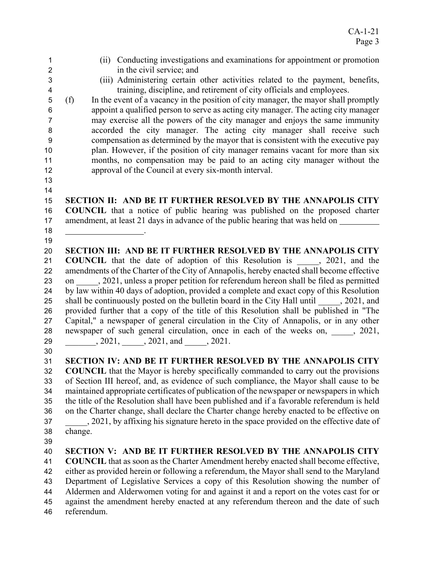- (ii) Conducting investigations and examinations for appointment or promotion in the civil service; and (iii) Administering certain other activities related to the payment, benefits, training, discipline, and retirement of city officials and employees. (f) In the event of a vacancy in the position of city manager, the mayor shall promptly appoint a qualified person to serve as acting city manager. The acting city manager may exercise all the powers of the city manager and enjoys the same immunity accorded the city manager. The acting city manager shall receive such compensation as determined by the mayor that is consistent with the executive pay plan. However, if the position of city manager remains vacant for more than six months, no compensation may be paid to an acting city manager without the approval of the Council at every six-month interval. **SECTION II: AND BE IT FURTHER RESOLVED BY THE ANNAPOLIS CITY COUNCIL** that a notice of public hearing was published on the proposed charter amendment, at least 21 days in advance of the public hearing that was held on 18 <u>\_\_\_\_\_\_\_\_\_\_\_\_\_\_\_\_\_\_\_\_</u>\_. **SECTION III: AND BE IT FURTHER RESOLVED BY THE ANNAPOLIS CITY COUNCIL** that the date of adoption of this Resolution is , 2021, and the amendments of the Charter of the City of Annapolis, hereby enacted shall become effective 23 on 2021, unless a proper petition for referendum hereon shall be filed as permitted by law within 40 days of adoption, provided a complete and exact copy of this Resolution 25 shall be continuously posted on the bulletin board in the City Hall until 2021, and provided further that a copy of the title of this Resolution shall be published in "The Capital," a newspaper of general circulation in the City of Annapolis, or in any other 28 newspaper of such general circulation, once in each of the weeks on,  $\qquad \qquad , 2021,$ \_\_\_\_\_\_\_, 2021, \_\_\_\_\_, 2021, and \_\_\_\_\_, 2021. **SECTION IV: AND BE IT FURTHER RESOLVED BY THE ANNAPOLIS CITY COUNCIL** that the Mayor is hereby specifically commanded to carry out the provisions of Section III hereof, and, as evidence of such compliance, the Mayor shall cause to be maintained appropriate certificates of publication of the newspaper or newspapers in which the title of the Resolution shall have been published and if a favorable referendum is held on the Charter change, shall declare the Charter change hereby enacted to be effective on 37 . 2021, by affixing his signature hereto in the space provided on the effective date of change. **SECTION V: AND BE IT FURTHER RESOLVED BY THE ANNAPOLIS CITY COUNCIL** that as soon as the Charter Amendment hereby enacted shall become effective, either as provided herein or following a referendum, the Mayor shall send to the Maryland Department of Legislative Services a copy of this Resolution showing the number of Aldermen and Alderwomen voting for and against it and a report on the votes cast for or against the amendment hereby enacted at any referendum thereon and the date of such
- referendum.